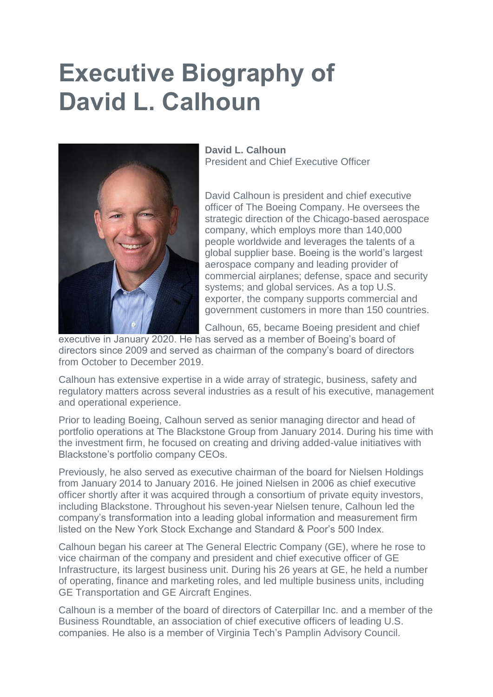## **Executive Biography of David L. Calhoun**



## **David L. Calhoun** President and Chief Executive Officer

David Calhoun is president and chief executive officer of The Boeing Company. He oversees the strategic direction of the Chicago-based aerospace company, which employs more than 140,000 people worldwide and leverages the talents of a global supplier base. Boeing is the world's largest aerospace company and leading provider of commercial airplanes; defense, space and security systems; and global services. As a top U.S. exporter, the company supports commercial and government customers in more than 150 countries.

Calhoun, 65, became Boeing president and chief

executive in January 2020. He has served as a member of Boeing's board of directors since 2009 and served as chairman of the company's board of directors from October to December 2019.

Calhoun has extensive expertise in a wide array of strategic, business, safety and regulatory matters across several industries as a result of his executive, management and operational experience.

Prior to leading Boeing, Calhoun served as senior managing director and head of portfolio operations at The Blackstone Group from January 2014. During his time with the investment firm, he focused on creating and driving added-value initiatives with Blackstone's portfolio company CEOs.

Previously, he also served as executive chairman of the board for Nielsen Holdings from January 2014 to January 2016. He joined Nielsen in 2006 as chief executive officer shortly after it was acquired through a consortium of private equity investors, including Blackstone. Throughout his seven-year Nielsen tenure, Calhoun led the company's transformation into a leading global information and measurement firm listed on the New York Stock Exchange and Standard & Poor's 500 Index.

Calhoun began his career at The General Electric Company (GE), where he rose to vice chairman of the company and president and chief executive officer of GE Infrastructure, its largest business unit. During his 26 years at GE, he held a number of operating, finance and marketing roles, and led multiple business units, including GE Transportation and GE Aircraft Engines.

Calhoun is a member of the board of directors of Caterpillar Inc. and a member of the Business Roundtable, an association of chief executive officers of leading U.S. companies. He also is a member of Virginia Tech's Pamplin Advisory Council.